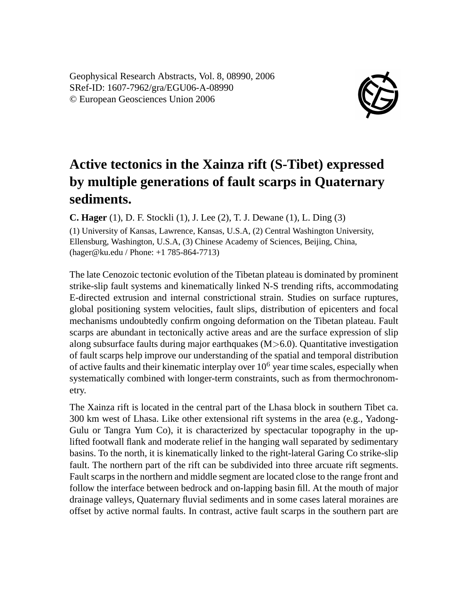Geophysical Research Abstracts, Vol. 8, 08990, 2006 SRef-ID: 1607-7962/gra/EGU06-A-08990 © European Geosciences Union 2006



## **Active tectonics in the Xainza rift (S-Tibet) expressed by multiple generations of fault scarps in Quaternary sediments.**

**C. Hager** (1), D. F. Stockli (1), J. Lee (2), T. J. Dewane (1), L. Ding (3)

(1) University of Kansas, Lawrence, Kansas, U.S.A, (2) Central Washington University, Ellensburg, Washington, U.S.A, (3) Chinese Academy of Sciences, Beijing, China, (hager@ku.edu / Phone: +1 785-864-7713)

The late Cenozoic tectonic evolution of the Tibetan plateau is dominated by prominent strike-slip fault systems and kinematically linked N-S trending rifts, accommodating E-directed extrusion and internal constrictional strain. Studies on surface ruptures, global positioning system velocities, fault slips, distribution of epicenters and focal mechanisms undoubtedly confirm ongoing deformation on the Tibetan plateau. Fault scarps are abundant in tectonically active areas and are the surface expression of slip along subsurface faults during major earthquakes  $(M>6.0)$ . Quantitative investigation of fault scarps help improve our understanding of the spatial and temporal distribution of active faults and their kinematic interplay over  $10<sup>6</sup>$  year time scales, especially when systematically combined with longer-term constraints, such as from thermochronometry.

The Xainza rift is located in the central part of the Lhasa block in southern Tibet ca. 300 km west of Lhasa. Like other extensional rift systems in the area (e.g., Yadong-Gulu or Tangra Yum Co), it is characterized by spectacular topography in the uplifted footwall flank and moderate relief in the hanging wall separated by sedimentary basins. To the north, it is kinematically linked to the right-lateral Garing Co strike-slip fault. The northern part of the rift can be subdivided into three arcuate rift segments. Fault scarps in the northern and middle segment are located close to the range front and follow the interface between bedrock and on-lapping basin fill. At the mouth of major drainage valleys, Quaternary fluvial sediments and in some cases lateral moraines are offset by active normal faults. In contrast, active fault scarps in the southern part are